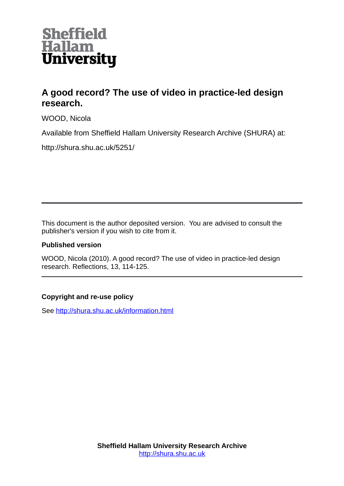

# **A good record? The use of video in practice-led design research.**

WOOD, Nicola

Available from Sheffield Hallam University Research Archive (SHURA) at:

http://shura.shu.ac.uk/5251/

This document is the author deposited version. You are advised to consult the publisher's version if you wish to cite from it.

### **Published version**

WOOD, Nicola (2010). A good record? The use of video in practice-led design research. Reflections, 13, 114-125.

## **Copyright and re-use policy**

See<http://shura.shu.ac.uk/information.html>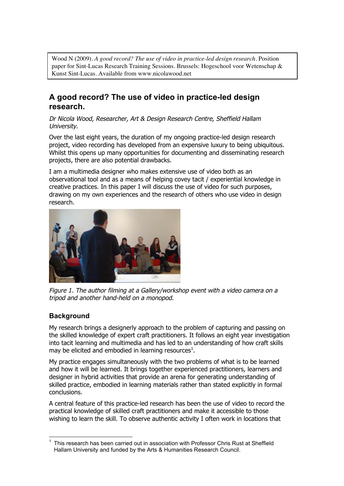Wood N (2009). *A good record? The use of video in practice-led design research.* Position paper for Sint-Lucas Research Training Sessions. Brussels: Hogeschool voor Wetenschap & Kunst Sint-Lucas. Available from www.nicolawood.net

## **A good record? The use of video in practice-led design research.**

Dr Nicola Wood, Researcher, Art & Design Research Centre, Sheffield Hallam University.

Over the last eight years, the duration of my ongoing practice-led design research project, video recording has developed from an expensive luxury to being ubiquitous. Whilst this opens up many opportunities for documenting and disseminating research projects, there are also potential drawbacks.

I am a multimedia designer who makes extensive use of video both as an observational tool and as a means of helping covey tacit / experiential knowledge in creative practices. In this paper I will discuss the use of video for such purposes, drawing on my own experiences and the research of others who use video in design research.



Figure 1. The author filming at a Gallery/workshop event with a video camera on a tripod and another hand-held on a monopod.

## **Background**

My research brings a designerly approach to the problem of capturing and passing on the skilled knowledge of expert craft practitioners. It follows an eight year investigation into tacit learning and multimedia and has led to an understanding of how craft skills may be elicited and embodied in learning resources<sup>1</sup>.

My practice engages simultaneously with the two problems of what is to be learned and how it will be learned. It brings together experienced practitioners, learners and designer in hybrid activities that provide an arena for generating understanding of skilled practice, embodied in learning materials rather than stated explicitly in formal conclusions.

A central feature of this practice-led research has been the use of video to record the practical knowledge of skilled craft practitioners and make it accessible to those wishing to learn the skill. To observe authentic activity I often work in locations that

<sup>1</sup> This research has been carried out in association with Professor Chris Rust at Sheffield Hallam University and funded by the Arts & Humanities Research Council.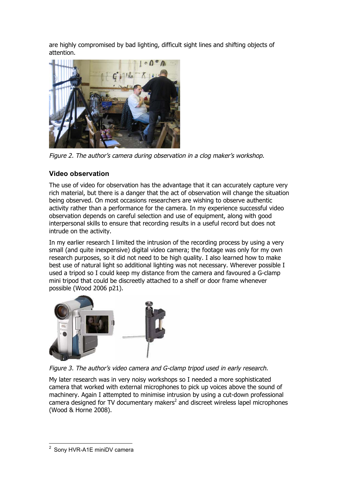are highly compromised by bad lighting, difficult sight lines and shifting objects of attention.



Figure 2. The author's camera during observation in a clog maker's workshop.

## **Video observation**

The use of video for observation has the advantage that it can accurately capture very rich material, but there is a danger that the act of observation will change the situation being observed. On most occasions researchers are wishing to observe authentic activity rather than a performance for the camera. In my experience successful video observation depends on careful selection and use of equipment, along with good interpersonal skills to ensure that recording results in a useful record but does not intrude on the activity.

In my earlier research I limited the intrusion of the recording process by using a very small (and quite inexpensive) digital video camera; the footage was only for my own research purposes, so it did not need to be high quality. I also learned how to make best use of natural light so additional lighting was not necessary. Wherever possible I used a tripod so I could keep my distance from the camera and favoured a G-clamp mini tripod that could be discreetly attached to a shelf or door frame whenever possible (Wood 2006 p21).



Figure 3. The author's video camera and G-clamp tripod used in early research.

My later research was in very noisy workshops so I needed a more sophisticated camera that worked with external microphones to pick up voices above the sound of machinery. Again I attempted to minimise intrusion by using a cut-down professional camera designed for TV documentary makers<sup>2</sup> and discreet wireless lapel microphones (Wood & Horne 2008).

Sony HVR-A1E miniDV camera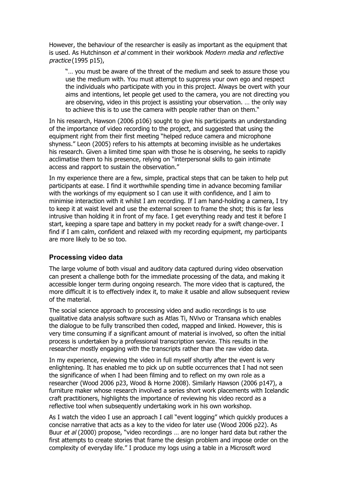However, the behaviour of the researcher is easily as important as the equipment that is used. As Hutchinson et al comment in their workbook Modern media and reflective practice (1995 p15),

"… you must be aware of the threat of the medium and seek to assure those you use the medium with. You must attempt to suppress your own ego and respect the individuals who participate with you in this project. Always be overt with your aims and intentions, let people get used to the camera, you are not directing you are observing, video in this project is assisting your observation. … the only way to achieve this is to use the camera with people rather than on them."

In his research, Hawson (2006 p106) sought to give his participants an understanding of the importance of video recording to the project, and suggested that using the equipment right from their first meeting "helped reduce camera and microphone shyness." Leon (2005) refers to his attempts at becoming invisible as he undertakes his research. Given a limited time span with those he is observing, he seeks to rapidly acclimatise them to his presence, relying on "interpersonal skills to gain intimate access and rapport to sustain the observation."

In my experience there are a few, simple, practical steps that can be taken to help put participants at ease. I find it worthwhile spending time in advance becoming familiar with the workings of my equipment so I can use it with confidence, and I aim to minimise interaction with it whilst I am recording. If I am hand-holding a camera, I try to keep it at waist level and use the external screen to frame the shot; this is far less intrusive than holding it in front of my face. I get everything ready and test it before I start, keeping a spare tape and battery in my pocket ready for a swift change-over. I find if I am calm, confident and relaxed with my recording equipment, my participants are more likely to be so too.

### **Processing video data**

The large volume of both visual and auditory data captured during video observation can present a challenge both for the immediate processing of the data, and making it accessible longer term during ongoing research. The more video that is captured, the more difficult it is to effectively index it, to make it usable and allow subsequent review of the material.

The social science approach to processing video and audio recordings is to use qualitative data analysis software such as Atlas Ti, NVivo or Transana which enables the dialogue to be fully transcribed then coded, mapped and linked. However, this is very time consuming if a significant amount of material is involved, so often the initial process is undertaken by a professional transcription service. This results in the researcher mostly engaging with the transcripts rather than the raw video data.

In my experience, reviewing the video in full myself shortly after the event is very enlightening. It has enabled me to pick up on subtle occurrences that I had not seen the significance of when I had been filming and to reflect on my own role as a researcher (Wood 2006 p23, Wood & Horne 2008). Similarly Hawson (2006 p147), a furniture maker whose research involved a series short work placements with Icelandic craft practitioners, highlights the importance of reviewing his video record as a reflective tool when subsequently undertaking work in his own workshop.

As I watch the video I use an approach I call "event logging" which quickly produces a concise narrative that acts as a key to the video for later use (Wood 2006 p22). As Buur et al (2000) propose, "video recordings ... are no longer hard data but rather the first attempts to create stories that frame the design problem and impose order on the complexity of everyday life." I produce my logs using a table in a Microsoft word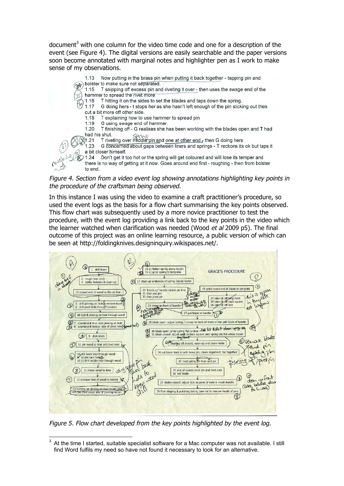document<sup>3</sup> with one column for the video time code and one for a description of the event (see Figure 4). The digital versions are easily searchable and the paper versions soon become annotated with marginal notes and highlighter pen as I work to make sense of my observations.

Now putting in the brass pin when putting it back together - tapping pin and  $1.13$ bolster to make sure not separated. 1.15 T snipping off excess pin and riveting it over - then uses the swage end of the hammer to spread the rivet more. T hitting it on the sides to set the blades and taps down the spring. 1.16 G doing hers - t stops her as she hasn't left enough of the pin sticking out then 1.17 cut a bit more off other side. T explaining how to use hammer to spread pin 1.18 1.19 G using swage end of hammer. T finishing off - G realises she has been working with the blades open and T had 1.20 had his shut. T riveting over middle pin and one at other end r then G doing hers  $31.21$ G concerned about gaps between liners and springs - T reckons its ok but taps it 1.23 a bit closer himself. Don't get it too hot or the spring will get coloured and will lose its temper and  $124$ there is no way of getting at it now. Goes around end first - roughing - then from bolster to end.

Figure 4. Section from a video event log showing annotations highlighting key points in the procedure of the craftsman being observed.

In this instance I was using the video to examine a craft practitioner's procedure, so used the event logs as the basis for a flow chart summarising the key points observed. This flow chart was subsequently used by a more novice practitioner to test the procedure, with the event log providing a link back to the key points in the video which the learner watched when clarification was needed (Wood et al 2009 p5). The final outcome of this project was an online learning resource, a public version of which can be seen at http://foldingknives.designinquiry.wikispaces.net/.



Figure 5. Flow chart developed from the key points highlighted by the event log.

 $3$  At the time I started, suitable specialist software for a Mac computer was not available. I still find Word fulfils my need so have not found it necessary to look for an alternative.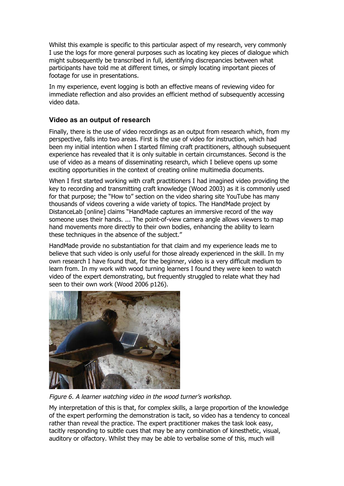Whilst this example is specific to this particular aspect of my research, very commonly I use the logs for more general purposes such as locating key pieces of dialogue which might subsequently be transcribed in full, identifying discrepancies between what participants have told me at different times, or simply locating important pieces of footage for use in presentations.

In my experience, event logging is both an effective means of reviewing video for immediate reflection and also provides an efficient method of subsequently accessing video data.

## **Video as an output of research**

Finally, there is the use of video recordings as an output from research which, from my perspective, falls into two areas. First is the use of video for instruction, which had been my initial intention when I started filming craft practitioners, although subsequent experience has revealed that it is only suitable in certain circumstances. Second is the use of video as a means of disseminating research, which I believe opens up some exciting opportunities in the context of creating online multimedia documents.

When I first started working with craft practitioners I had imagined video providing the key to recording and transmitting craft knowledge (Wood 2003) as it is commonly used for that purpose; the "How to" section on the video sharing site YouTube has many thousands of videos covering a wide variety of topics. The HandMade project by DistanceLab [online] claims "HandMade captures an immersive record of the way someone uses their hands. ... The point-of-view camera angle allows viewers to map hand movements more directly to their own bodies, enhancing the ability to learn these techniques in the absence of the subject."

HandMade provide no substantiation for that claim and my experience leads me to believe that such video is only useful for those already experienced in the skill. In my own research I have found that, for the beginner, video is a very difficult medium to learn from. In my work with wood turning learners I found they were keen to watch video of the expert demonstrating, but frequently struggled to relate what they had seen to their own work (Wood 2006 p126).



Figure 6. A learner watching video in the wood turner's workshop.

My interpretation of this is that, for complex skills, a large proportion of the knowledge of the expert performing the demonstration is tacit, so video has a tendency to conceal rather than reveal the practice. The expert practitioner makes the task look easy, tacitly responding to subtle cues that may be any combination of kinesthetic, visual, auditory or olfactory. Whilst they may be able to verbalise some of this, much will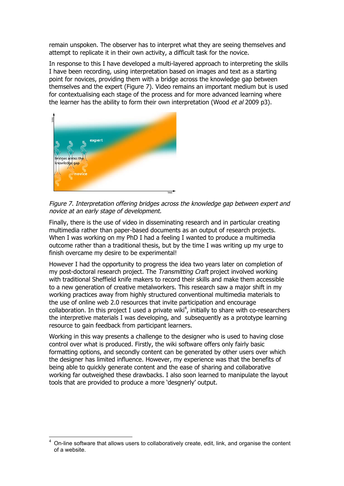remain unspoken. The observer has to interpret what they are seeing themselves and attempt to replicate it in their own activity, a difficult task for the novice.

In response to this I have developed a multi-layered approach to interpreting the skills I have been recording, using interpretation based on images and text as a starting point for novices, providing them with a bridge across the knowledge gap between themselves and the expert (Figure 7). Video remains an important medium but is used for contextualising each stage of the process and for more advanced learning where the learner has the ability to form their own interpretation (Wood et al 2009 p3).



Figure 7. Interpretation offering bridges across the knowledge gap between expert and novice at an early stage of development.

Finally, there is the use of video in disseminating research and in particular creating multimedia rather than paper-based documents as an output of research projects. When I was working on my PhD I had a feeling I wanted to produce a multimedia outcome rather than a traditional thesis, but by the time I was writing up my urge to finish overcame my desire to be experimental!

However I had the opportunity to progress the idea two years later on completion of my post-doctoral research project. The Transmitting Craft project involved working with traditional Sheffield knife makers to record their skills and make them accessible to a new generation of creative metalworkers. This research saw a major shift in my working practices away from highly structured conventional multimedia materials to the use of online web 2.0 resources that invite participation and encourage collaboration. In this project I used a private wiki<sup>4</sup>, initially to share with co-researchers the interpretive materials I was developing, and subsequently as a prototype learning resource to gain feedback from participant learners.

Working in this way presents a challenge to the designer who is used to having close control over what is produced. Firstly, the wiki software offers only fairly basic formatting options, and secondly content can be generated by other users over which the designer has limited influence. However, my experience was that the benefits of being able to quickly generate content and the ease of sharing and collaborative working far outweighed these drawbacks. I also soon learned to manipulate the layout tools that are provided to produce a more 'desgnerly' output.

<sup>&</sup>lt;sup>4</sup> On-line software that allows users to collaboratively create, edit, link, and organise the content of a website.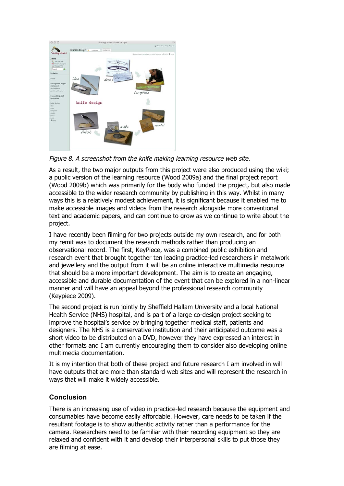

Figure 8. A screenshot from the knife making learning resource web site.

As a result, the two major outputs from this project were also produced using the wiki; a public version of the learning resource (Wood 2009a) and the final project report (Wood 2009b) which was primarily for the body who funded the project, but also made accessible to the wider research community by publishing in this way. Whilst in many ways this is a relatively modest achievement, it is significant because it enabled me to make accessible images and videos from the research alongside more conventional text and academic papers, and can continue to grow as we continue to write about the project.

I have recently been filming for two projects outside my own research, and for both my remit was to document the research methods rather than producing an observational record. The first, KeyPiece, was a combined public exhibition and research event that brought together ten leading practice-led researchers in metalwork and jewellery and the output from it will be an online interactive multimedia resource that should be a more important development. The aim is to create an engaging, accessible and durable documentation of the event that can be explored in a non-linear manner and will have an appeal beyond the professional research community (Keypiece 2009).

The second project is run jointly by Sheffield Hallam University and a local National Health Service (NHS) hospital, and is part of a large co-design project seeking to improve the hospital's service by bringing together medical staff, patients and designers. The NHS is a conservative institution and their anticipated outcome was a short video to be distributed on a DVD, however they have expressed an interest in other formats and I am currently encouraging them to consider also developing online multimedia documentation.

It is my intention that both of these project and future research I am involved in will have outputs that are more than standard web sites and will represent the research in ways that will make it widely accessible.

### **Conclusion**

There is an increasing use of video in practice-led research because the equipment and consumables have become easily affordable. However, care needs to be taken if the resultant footage is to show authentic activity rather than a performance for the camera. Researchers need to be familiar with their recording equipment so they are relaxed and confident with it and develop their interpersonal skills to put those they are filming at ease.